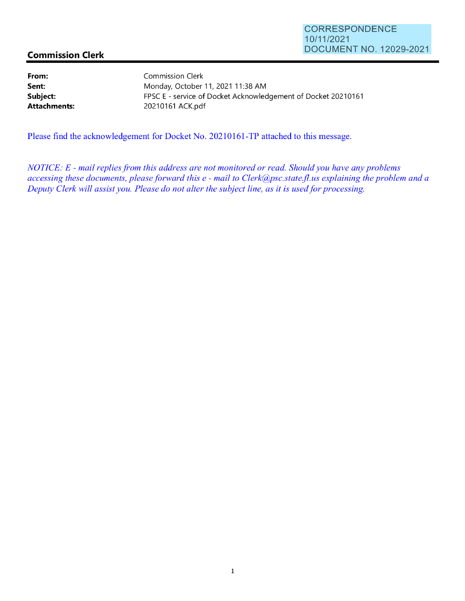## **Commission Clerk**

**From: Sent: Subject: Attachments:** 

Commission Clerk Monday, October 11, 2021 11 :38 AM FPSC E - service of Docket Acknowledgement of Docket 20210161 20210161 ACK.pdf

Please find the acknowledgement for Docket No. 20210161 -TP attached to this message.

*NOTICE: E* - *mail replies from this address are not monitored or read. Should you have any problems accessing these documents, please forward this e* - *mail to Clerk@psc.state.jl.us explaining the problem and a Deputy Clerk will assist you. Please do not alter the subject line, as it is used for processing.*